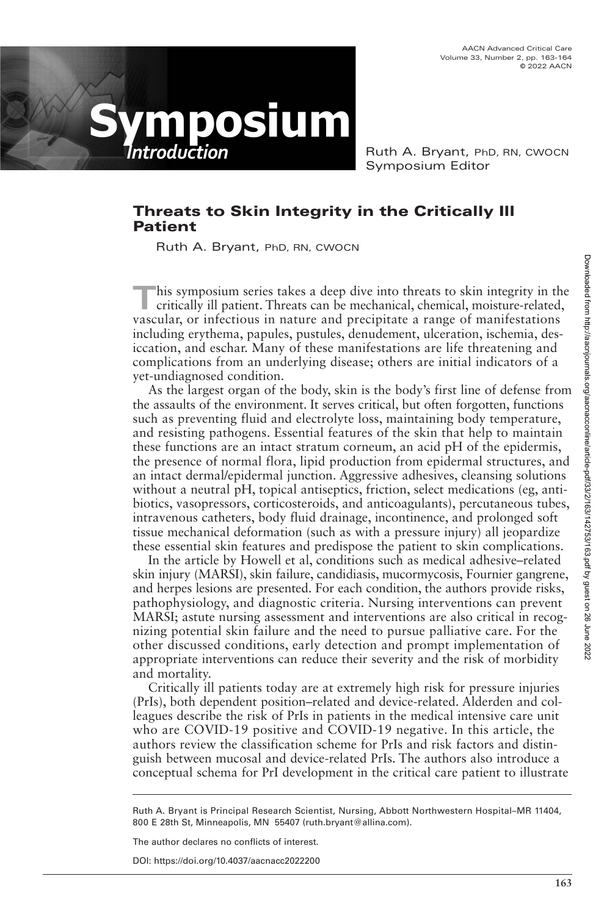AACN Advanced Critical Care Volume 33, Number 2, pp. 163-164 © 2022 AACN



Ruth A. Bryant, PhD, RN, CWOCN Symposium Editor

## **Threats to Skin Integrity in the Critically Ill Patient**

Ruth A. Bryant, PhD, RN, CWOCN

**T**his symposium series takes a deep dive into threats to skin integrity in the critically ill patient. Threats can be mechanical, chemical, moisture-related, vascular, or infectious in nature and precipitate a range of manifestations including erythema, papules, pustules, denudement, ulceration, ischemia, desiccation, and eschar. Many of these manifestations are life threatening and complications from an underlying disease; others are initial indicators of a yet-undiagnosed condition.

As the largest organ of the body, skin is the body's first line of defense from the assaults of the environment. It serves critical, but often forgotten, functions such as preventing fluid and electrolyte loss, maintaining body temperature, and resisting pathogens. Essential features of the skin that help to maintain these functions are an intact stratum corneum, an acid pH of the epidermis, the presence of normal flora, lipid production from epidermal structures, and an intact dermal/epidermal junction. Aggressive adhesives, cleansing solutions without a neutral pH, topical antiseptics, friction, select medications (eg, antibiotics, vasopressors, corticosteroids, and anticoagulants), percutaneous tubes, intravenous catheters, body fluid drainage, incontinence, and prolonged soft tissue mechanical deformation (such as with a pressure injury) all jeopardize these essential skin features and predispose the patient to skin complications.

In the article by Howell et al, conditions such as medical adhesive–related skin injury (MARSI), skin failure, candidiasis, mucormycosis, Fournier gangrene, and herpes lesions are presented. For each condition, the authors provide risks, pathophysiology, and diagnostic criteria. Nursing interventions can prevent MARSI; astute nursing assessment and interventions are also critical in recognizing potential skin failure and the need to pursue palliative care. For the other discussed conditions, early detection and prompt implementation of appropriate interventions can reduce their severity and the risk of morbidity and mortality.

Critically ill patients today are at extremely high risk for pressure injuries (PrIs), both dependent position–related and device-related. Alderden and colleagues describe the risk of PrIs in patients in the medical intensive care unit who are COVID-19 positive and COVID-19 negative. In this article, the authors review the classification scheme for PrIs and risk factors and distinguish between mucosal and device-related PrIs. The authors also introduce a conceptual schema for PrI development in the critical care patient to illustrate

Ruth A. Bryant is Principal Research Scientist, Nursing, Abbott Northwestern Hospital–MR 11404, 800 E 28th St, Minneapolis, MN 55407 (ruth.bryant@allina.com).

The author declares no conflicts of interest.

DOI: https://doi.org/10.4037/aacnacc2022200